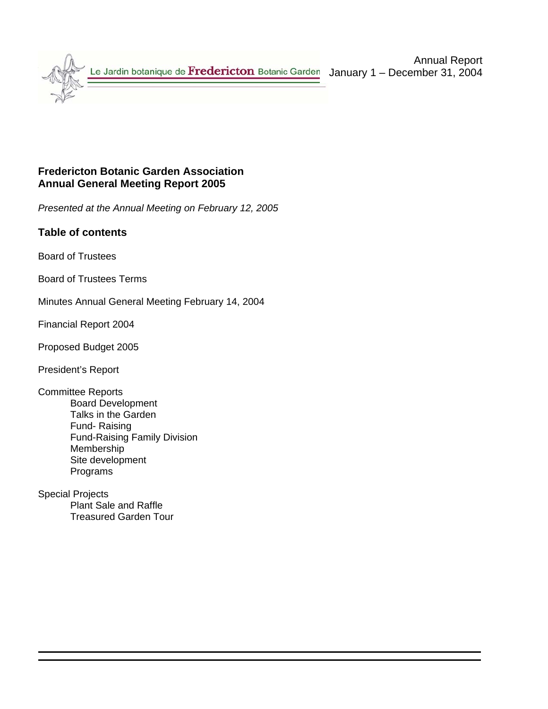

## **Fredericton Botanic Garden Association Annual General Meeting Report 2005**

*Presented at the Annual Meeting on February 12, 2005* 

## **Table of contents**

Board of Trustees

Board of Trustees Terms

Minutes Annual General Meeting February 14, 2004

Financial Report 2004

Proposed Budget 2005

President's Report

Committee Reports Board Development Talks in the Garden Fund- Raising Fund-Raising Family Division Membership Site development Programs

Special Projects Plant Sale and Raffle Treasured Garden Tour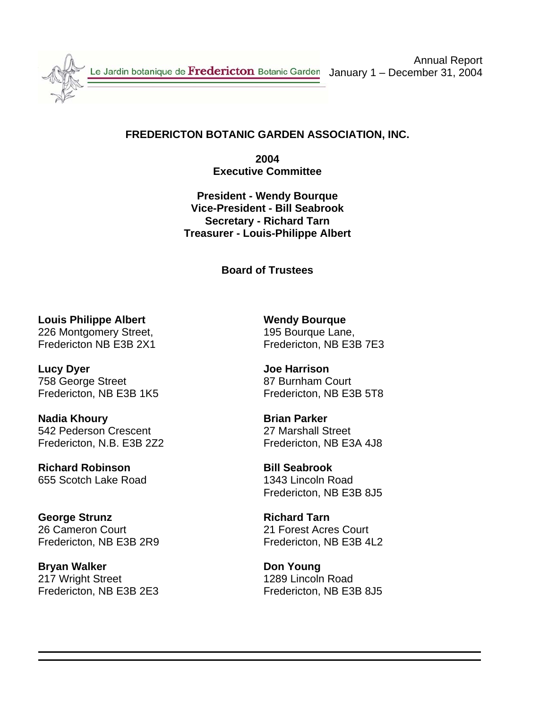

Le Jardin botanique de Fredericton Botanic Garden

Annual Report January 1 – December 31, 2004

## **FREDERICTON BOTANIC GARDEN ASSOCIATION, INC.**

**2004 Executive Committee** 

**President - Wendy Bourque Vice-President - Bill Seabrook Secretary - Richard Tarn Treasurer - Louis-Philippe Albert** 

## **Board of Trustees**

**Louis Philippe Albert New Yourgue Wendy Bourque** 226 Montgomery Street, 226 Montgomery Street,

**Lucy Dyer Contract Contract Contract Contract Contract Contract Contract Contract Contract Contract Contract Contract Contract Contract Contract Contract Contract Contract Contract Contract Contract Contract Contract Cont** 758 George Street 87 Burnham Court Fredericton, NB E3B 1K5 Fredericton, NB E3B 5T8

**Nadia Khoury Communist Communist Parker** 542 Pederson Crescent 27 Marshall Street Fredericton, N.B. E3B 2Z2 Fredericton, NB E3A 4J8

**Richard Robinson Bill Seabrook** 655 Scotch Lake Road 1343 Lincoln Road

**George Strunz Richard Tarn** 26 Cameron Court 21 Forest Acres Court Fredericton, NB E3B 2R9 Fredericton, NB E3B 4L2

**Bryan Walker Communist Communist Communist Communist Communist Communist Communist Communist Communist Communist Communist Communist Communist Communist Communist Communist Communist Communist Communist Communist Communis** 217 Wright Street 217 Wright Street Fredericton, NB E3B 2E3 Fredericton, NB E3B 8J5

Fredericton NB E3B 2X1 Fredericton, NB E3B 7E3

Fredericton, NB E3B 8J5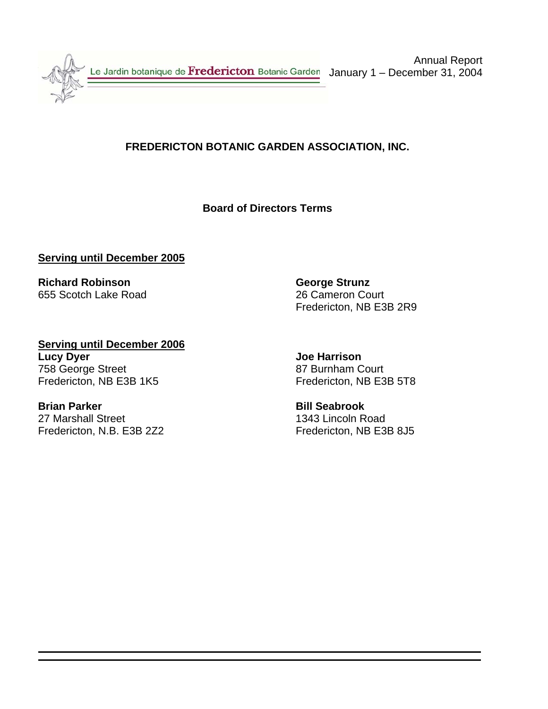

## **FREDERICTON BOTANIC GARDEN ASSOCIATION, INC.**

## **Board of Directors Terms**

## **Serving until December 2005**

**Richard Robinson George Strunz** 655 Scotch Lake Road 26 Cameron Court

Fredericton, NB E3B 2R9

**Serving until December 2006 Lucy Dyer** Joe Harrison 758 George Street 87 Burnham Court Fredericton, NB E3B 1K5 Fredericton, NB E3B 5T8

27 Marshall Street 1343 Lincoln Road Fredericton, N.B. E3B 2Z2 Fredericton, NB E3B 8J5

**Brian Parker Community Community Community Brian Bill Seabrook**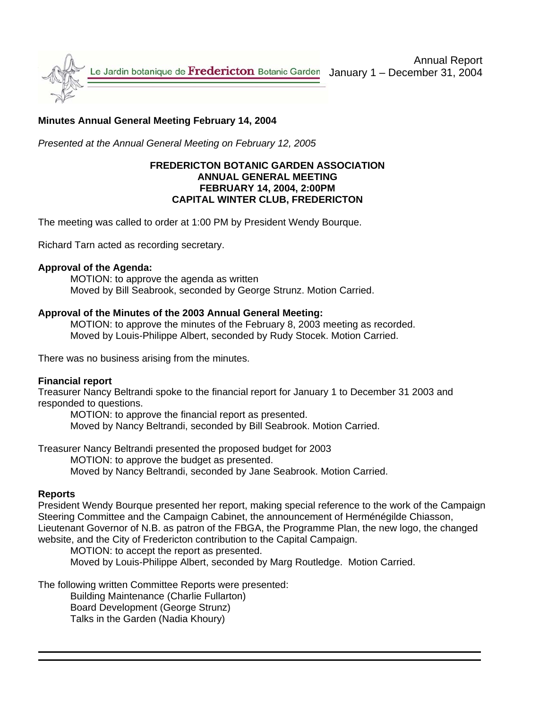

## **Minutes Annual General Meeting February 14, 2004**

*Presented at the Annual General Meeting on February 12, 2005* 

### **FREDERICTON BOTANIC GARDEN ASSOCIATION ANNUAL GENERAL MEETING FEBRUARY 14, 2004, 2:00PM CAPITAL WINTER CLUB, FREDERICTON**

The meeting was called to order at 1:00 PM by President Wendy Bourque.

Richard Tarn acted as recording secretary.

#### **Approval of the Agenda:**

 MOTION: to approve the agenda as written Moved by Bill Seabrook, seconded by George Strunz. Motion Carried.

#### **Approval of the Minutes of the 2003 Annual General Meeting:**

 MOTION: to approve the minutes of the February 8, 2003 meeting as recorded. Moved by Louis-Philippe Albert, seconded by Rudy Stocek. Motion Carried.

There was no business arising from the minutes.

#### **Financial report**

Treasurer Nancy Beltrandi spoke to the financial report for January 1 to December 31 2003 and responded to questions.

MOTION: to approve the financial report as presented.

Moved by Nancy Beltrandi, seconded by Bill Seabrook. Motion Carried.

Treasurer Nancy Beltrandi presented the proposed budget for 2003

MOTION: to approve the budget as presented.

Moved by Nancy Beltrandi, seconded by Jane Seabrook. Motion Carried.

#### **Reports**

President Wendy Bourque presented her report, making special reference to the work of the Campaign Steering Committee and the Campaign Cabinet, the announcement of Herménégilde Chiasson, Lieutenant Governor of N.B. as patron of the FBGA, the Programme Plan, the new logo, the changed website, and the City of Fredericton contribution to the Capital Campaign.

MOTION: to accept the report as presented.

Moved by Louis-Philippe Albert, seconded by Marg Routledge. Motion Carried.

The following written Committee Reports were presented:

 Building Maintenance (Charlie Fullarton) Board Development (George Strunz) Talks in the Garden (Nadia Khoury)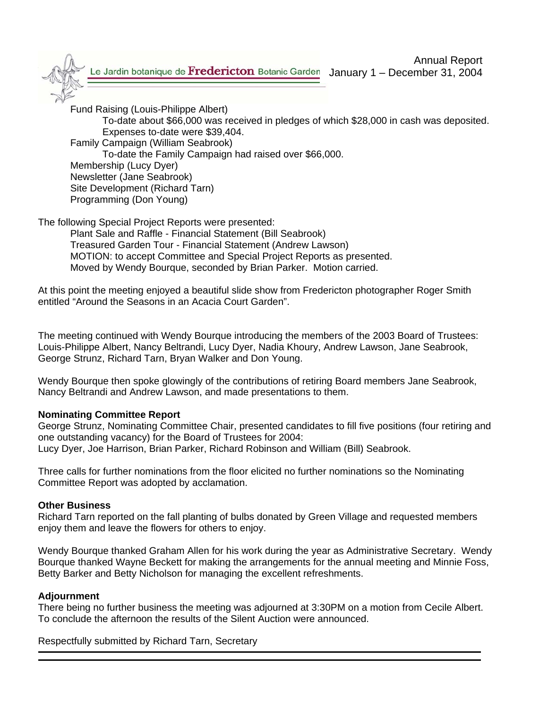

Fund Raising (Louis-Philippe Albert)

To-date about \$66,000 was received in pledges of which \$28,000 in cash was deposited. Expenses to-date were \$39,404.

Family Campaign (William Seabrook)

To-date the Family Campaign had raised over \$66,000.

 Membership (Lucy Dyer) Newsletter (Jane Seabrook) Site Development (Richard Tarn)

Programming (Don Young)

The following Special Project Reports were presented:

 Plant Sale and Raffle - Financial Statement (Bill Seabrook) Treasured Garden Tour - Financial Statement (Andrew Lawson) MOTION: to accept Committee and Special Project Reports as presented. Moved by Wendy Bourque, seconded by Brian Parker. Motion carried.

At this point the meeting enjoyed a beautiful slide show from Fredericton photographer Roger Smith entitled "Around the Seasons in an Acacia Court Garden".

The meeting continued with Wendy Bourque introducing the members of the 2003 Board of Trustees: Louis-Philippe Albert, Nancy Beltrandi, Lucy Dyer, Nadia Khoury, Andrew Lawson, Jane Seabrook, George Strunz, Richard Tarn, Bryan Walker and Don Young.

Wendy Bourque then spoke glowingly of the contributions of retiring Board members Jane Seabrook, Nancy Beltrandi and Andrew Lawson, and made presentations to them.

## **Nominating Committee Report**

George Strunz, Nominating Committee Chair, presented candidates to fill five positions (four retiring and one outstanding vacancy) for the Board of Trustees for 2004: Lucy Dyer, Joe Harrison, Brian Parker, Richard Robinson and William (Bill) Seabrook.

Three calls for further nominations from the floor elicited no further nominations so the Nominating Committee Report was adopted by acclamation.

## **Other Business**

Richard Tarn reported on the fall planting of bulbs donated by Green Village and requested members enjoy them and leave the flowers for others to enjoy.

Wendy Bourque thanked Graham Allen for his work during the year as Administrative Secretary. Wendy Bourque thanked Wayne Beckett for making the arrangements for the annual meeting and Minnie Foss, Betty Barker and Betty Nicholson for managing the excellent refreshments.

## **Adjournment**

There being no further business the meeting was adjourned at 3:30PM on a motion from Cecile Albert. To conclude the afternoon the results of the Silent Auction were announced.

Respectfully submitted by Richard Tarn, Secretary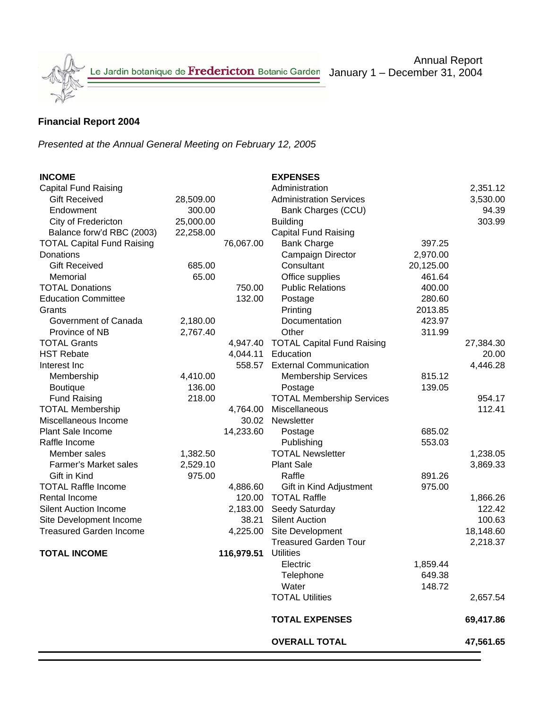

## **Financial Report 2004**

*Presented at the Annual General Meeting on February 12, 2005*

| <b>INCOME</b>                     |           |            | <b>EXPENSES</b>                     |           |           |
|-----------------------------------|-----------|------------|-------------------------------------|-----------|-----------|
| Capital Fund Raising              |           |            | Administration                      |           | 2,351.12  |
| <b>Gift Received</b>              | 28,509.00 |            | <b>Administration Services</b>      |           | 3,530.00  |
| Endowment                         | 300.00    |            | Bank Charges (CCU)                  |           | 94.39     |
| City of Fredericton               | 25,000.00 |            | <b>Building</b>                     |           | 303.99    |
| Balance forw'd RBC (2003)         | 22,258.00 |            | <b>Capital Fund Raising</b>         |           |           |
| <b>TOTAL Capital Fund Raising</b> |           | 76,067.00  | <b>Bank Charge</b>                  | 397.25    |           |
| Donations                         |           |            | Campaign Director                   | 2,970.00  |           |
| <b>Gift Received</b>              | 685.00    |            | Consultant                          | 20,125.00 |           |
| Memorial                          | 65.00     |            | Office supplies                     | 461.64    |           |
| <b>TOTAL Donations</b>            |           | 750.00     | <b>Public Relations</b>             | 400.00    |           |
| <b>Education Committee</b>        |           | 132.00     | Postage                             | 280.60    |           |
| Grants                            |           |            | Printing                            | 2013.85   |           |
| Government of Canada              | 2,180.00  |            | Documentation                       | 423.97    |           |
| Province of NB                    | 2,767.40  |            | Other                               | 311.99    |           |
| <b>TOTAL Grants</b>               |           |            | 4,947.40 TOTAL Capital Fund Raising |           | 27,384.30 |
| <b>HST Rebate</b>                 |           |            | 4,044.11 Education                  |           | 20.00     |
| Interest Inc                      |           |            | 558.57 External Communication       |           | 4,446.28  |
| Membership                        | 4,410.00  |            | <b>Membership Services</b>          | 815.12    |           |
| <b>Boutique</b>                   | 136.00    |            | Postage                             | 139.05    |           |
| <b>Fund Raising</b>               | 218.00    |            | <b>TOTAL Membership Services</b>    |           | 954.17    |
| <b>TOTAL Membership</b>           |           | 4,764.00   | Miscellaneous                       |           | 112.41    |
| Miscellaneous Income              |           |            | 30.02 Newsletter                    |           |           |
| Plant Sale Income                 |           | 14,233.60  | Postage                             | 685.02    |           |
| Raffle Income                     |           |            | Publishing                          | 553.03    |           |
| Member sales                      | 1,382.50  |            | <b>TOTAL Newsletter</b>             |           | 1,238.05  |
| <b>Farmer's Market sales</b>      | 2,529.10  |            | <b>Plant Sale</b>                   |           | 3,869.33  |
| Gift in Kind                      | 975.00    |            | Raffle                              | 891.26    |           |
| <b>TOTAL Raffle Income</b>        |           | 4,886.60   | Gift in Kind Adjustment             | 975.00    |           |
| Rental Income                     |           |            | 120.00 TOTAL Raffle                 |           | 1,866.26  |
| <b>Silent Auction Income</b>      |           |            | 2,183.00 Seedy Saturday             |           | 122.42    |
| Site Development Income           |           | 38.21      | <b>Silent Auction</b>               |           | 100.63    |
| <b>Treasured Garden Income</b>    |           | 4,225.00   | Site Development                    |           | 18,148.60 |
|                                   |           |            | <b>Treasured Garden Tour</b>        |           | 2,218.37  |
| <b>TOTAL INCOME</b>               |           | 116,979.51 | <b>Utilities</b>                    |           |           |
|                                   |           |            | Electric                            | 1,859.44  |           |
|                                   |           |            | Telephone                           | 649.38    |           |
|                                   |           |            | Water                               | 148.72    |           |
|                                   |           |            | <b>TOTAL Utilities</b>              |           | 2,657.54  |
|                                   |           |            | <b>TOTAL EXPENSES</b>               |           | 69,417.86 |
|                                   |           |            | <b>OVERALL TOTAL</b>                |           | 47,561.65 |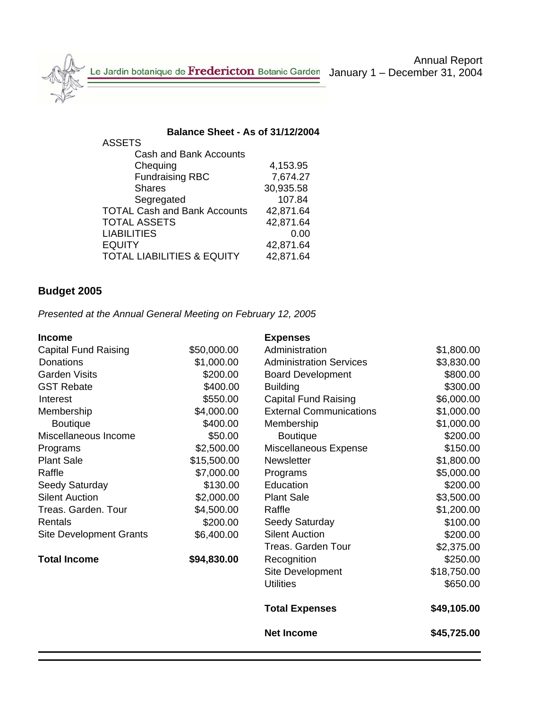Annual Report

ASSETS

**Balance Sheet - As of 31/12/2004** 

| 4,153.95  |
|-----------|
| 7,674.27  |
| 30,935.58 |
| 107.84    |
| 42,871.64 |
| 42,871.64 |
| 0.00      |
| 42,871.64 |
| 42,871.64 |
|           |

# **Budget 2005**

*Presented at the Annual General Meeting on February 12, 2005* 

| <b>Income</b>                  |             | <b>Expenses</b>                |             |
|--------------------------------|-------------|--------------------------------|-------------|
| <b>Capital Fund Raising</b>    | \$50,000.00 | Administration                 | \$1,800.00  |
| <b>Donations</b>               | \$1,000.00  | <b>Administration Services</b> | \$3,830.00  |
| <b>Garden Visits</b>           | \$200.00    | <b>Board Development</b>       | \$800.00    |
| <b>GST Rebate</b>              | \$400.00    | <b>Building</b>                | \$300.00    |
| Interest                       | \$550.00    | <b>Capital Fund Raising</b>    | \$6,000.00  |
| Membership                     | \$4,000.00  | <b>External Communications</b> | \$1,000.00  |
| <b>Boutique</b>                | \$400.00    | Membership                     | \$1,000.00  |
| Miscellaneous Income           | \$50.00     | <b>Boutique</b>                | \$200.00    |
| Programs                       | \$2,500.00  | Miscellaneous Expense          | \$150.00    |
| <b>Plant Sale</b>              | \$15,500.00 | <b>Newsletter</b>              | \$1,800.00  |
| Raffle                         | \$7,000.00  | Programs                       | \$5,000.00  |
| Seedy Saturday                 | \$130.00    | Education                      | \$200.00    |
| <b>Silent Auction</b>          | \$2,000.00  | <b>Plant Sale</b>              | \$3,500.00  |
| Treas. Garden. Tour            | \$4,500.00  | Raffle                         | \$1,200.00  |
| Rentals                        | \$200.00    | Seedy Saturday                 | \$100.00    |
| <b>Site Development Grants</b> | \$6,400.00  | <b>Silent Auction</b>          | \$200.00    |
|                                |             | <b>Treas. Garden Tour</b>      | \$2,375.00  |
| <b>Total Income</b>            | \$94,830.00 | Recognition                    | \$250.00    |
|                                |             | Site Development               | \$18,750.00 |
|                                |             | <b>Utilities</b>               | \$650.00    |
|                                |             | <b>Total Expenses</b>          | \$49,105.00 |
|                                |             | <b>Net Income</b>              | \$45,725.00 |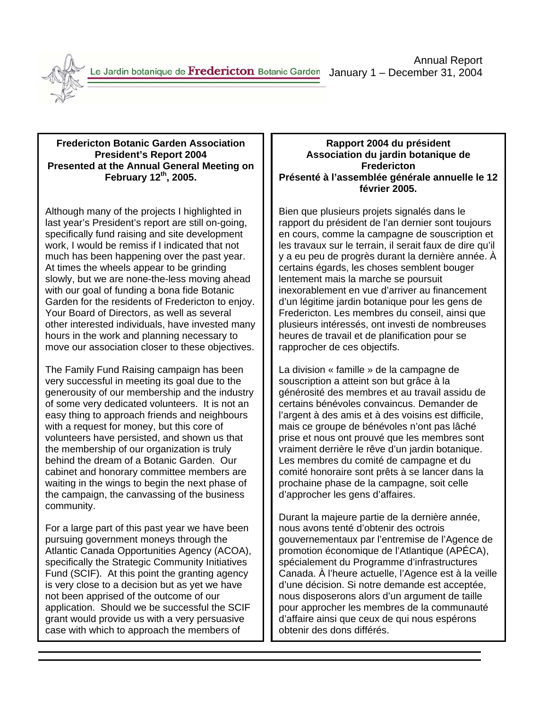

**Fredericton Botanic Garden Association President's Report 2004 Presented at the Annual General Meeting on February 12th, 2005.** 

Although many of the projects I highlighted in last year's President's report are still on-going, specifically fund raising and site development work, I would be remiss if I indicated that not much has been happening over the past year. At times the wheels appear to be grinding slowly, but we are none-the-less moving ahead with our goal of funding a bona fide Botanic Garden for the residents of Fredericton to enjoy. Your Board of Directors, as well as several other interested individuals, have invested many hours in the work and planning necessary to move our association closer to these objectives.

The Family Fund Raising campaign has been very successful in meeting its goal due to the generousity of our membership and the industry of some very dedicated volunteers. It is not an easy thing to approach friends and neighbours with a request for money, but this core of volunteers have persisted, and shown us that the membership of our organization is truly behind the dream of a Botanic Garden. Our cabinet and honorary committee members are waiting in the wings to begin the next phase of the campaign, the canvassing of the business community.

For a large part of this past year we have been pursuing government moneys through the Atlantic Canada Opportunities Agency (ACOA), specifically the Strategic Community Initiatives Fund (SCIF). At this point the granting agency is very close to a decision but as yet we have not been apprised of the outcome of our application. Should we be successful the SCIF grant would provide us with a very persuasive case with which to approach the members of

## **Rapport 2004 du président Association du jardin botanique de Fredericton Présenté à l'assemblée générale annuelle le 12 février 2005.**

Bien que plusieurs projets signalés dans le rapport du président de l'an dernier sont toujours en cours, comme la campagne de souscription et les travaux sur le terrain, il serait faux de dire qu'il y a eu peu de progrès durant la dernière année. À certains égards, les choses semblent bouger lentement mais la marche se poursuit inexorablement en vue d'arriver au financement d'un légitime jardin botanique pour les gens de Fredericton. Les membres du conseil, ainsi que plusieurs intéressés, ont investi de nombreuses heures de travail et de planification pour se rapprocher de ces objectifs.

La division « famille » de la campagne de souscription a atteint son but grâce à la générosité des membres et au travail assidu de certains bénévoles convaincus. Demander de l'argent à des amis et à des voisins est difficile, mais ce groupe de bénévoles n'ont pas lâché prise et nous ont prouvé que les membres sont vraiment derrière le rêve d'un jardin botanique. Les membres du comité de campagne et du comité honoraire sont prêts à se lancer dans la prochaine phase de la campagne, soit celle d'approcher les gens d'affaires.

Durant la majeure partie de la dernière année, nous avons tenté d'obtenir des octrois gouvernementaux par l'entremise de l'Agence de promotion économique de l'Atlantique (APÉCA), spécialement du Programme d'infrastructures Canada. À l'heure actuelle, l'Agence est à la veille d'une décision. Si notre demande est acceptée, nous disposerons alors d'un argument de taille pour approcher les membres de la communauté d'affaire ainsi que ceux de qui nous espérons obtenir des dons différés.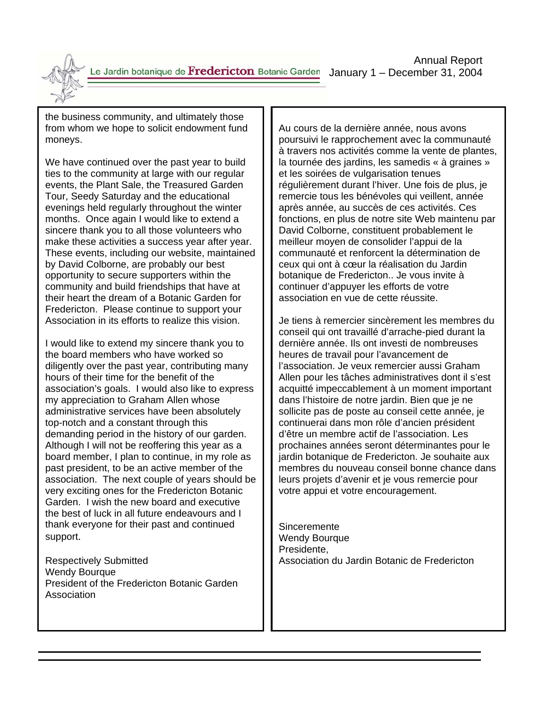Annual Report

the business community, and ultimately those from whom we hope to solicit endowment fund moneys.

We have continued over the past year to build ties to the community at large with our regular events, the Plant Sale, the Treasured Garden Tour, Seedy Saturday and the educational evenings held regularly throughout the winter months. Once again I would like to extend a sincere thank you to all those volunteers who make these activities a success year after year. These events, including our website, maintained by David Colborne, are probably our best opportunity to secure supporters within the community and build friendships that have at their heart the dream of a Botanic Garden for Fredericton. Please continue to support your Association in its efforts to realize this vision.

I would like to extend my sincere thank you to the board members who have worked so diligently over the past year, contributing many hours of their time for the benefit of the association's goals. I would also like to express my appreciation to Graham Allen whose administrative services have been absolutely top-notch and a constant through this demanding period in the history of our garden. Although I will not be reoffering this year as a board member, I plan to continue, in my role as past president, to be an active member of the association. The next couple of years should be very exciting ones for the Fredericton Botanic Garden. I wish the new board and executive the best of luck in all future endeavours and I thank everyone for their past and continued support.

Respectively Submitted Wendy Bourque President of the Fredericton Botanic Garden Association

Au cours de la dernière année, nous avons poursuivi le rapprochement avec la communauté à travers nos activités comme la vente de plantes, la tournée des jardins, les samedis « à graines » et les soirées de vulgarisation tenues régulièrement durant l'hiver. Une fois de plus, je remercie tous les bénévoles qui veillent, année après année, au succès de ces activités. Ces fonctions, en plus de notre site Web maintenu par David Colborne, constituent probablement le meilleur moyen de consolider l'appui de la communauté et renforcent la détermination de ceux qui ont à cœur la réalisation du Jardin botanique de Fredericton.. Je vous invite à continuer d'appuyer les efforts de votre association en vue de cette réussite.

Je tiens à remercier sincèrement les membres du conseil qui ont travaillé d'arrache-pied durant la dernière année. Ils ont investi de nombreuses heures de travail pour l'avancement de l'association. Je veux remercier aussi Graham Allen pour les tâches administratives dont il s'est acquitté impeccablement à un moment important dans l'histoire de notre jardin. Bien que je ne sollicite pas de poste au conseil cette année, je continuerai dans mon rôle d'ancien président d'être un membre actif de l'association. Les prochaines années seront déterminantes pour le jardin botanique de Fredericton. Je souhaite aux membres du nouveau conseil bonne chance dans leurs projets d'avenir et je vous remercie pour votre appui et votre encouragement.

**Sinceremente** Wendy Bourque Presidente, Association du Jardin Botanic de Fredericton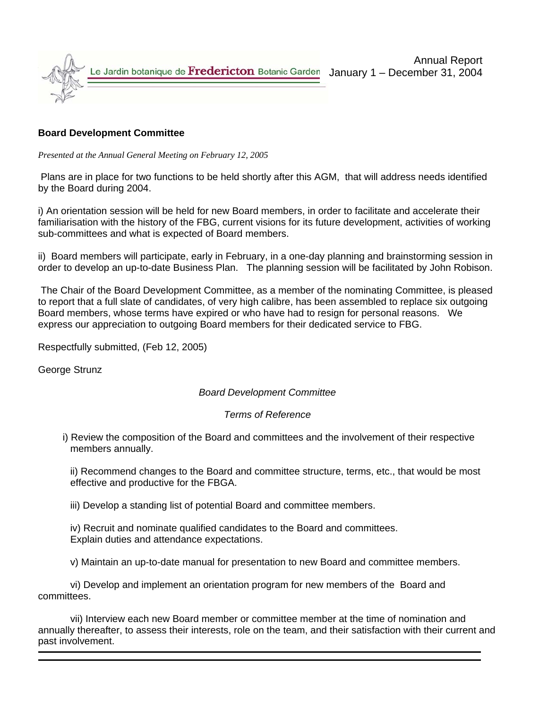

## **Board Development Committee**

*Presented at the Annual General Meeting on February 12, 2005* 

 Plans are in place for two functions to be held shortly after this AGM, that will address needs identified by the Board during 2004.

i) An orientation session will be held for new Board members, in order to facilitate and accelerate their familiarisation with the history of the FBG, current visions for its future development, activities of working sub-committees and what is expected of Board members.

ii) Board members will participate, early in February, in a one-day planning and brainstorming session in order to develop an up-to-date Business Plan. The planning session will be facilitated by John Robison.

 The Chair of the Board Development Committee, as a member of the nominating Committee, is pleased to report that a full slate of candidates, of very high calibre, has been assembled to replace six outgoing Board members, whose terms have expired or who have had to resign for personal reasons. We express our appreciation to outgoing Board members for their dedicated service to FBG.

Respectfully submitted, (Feb 12, 2005)

George Strunz

## *Board Development Committee*

#### *Terms of Reference*

 i) Review the composition of the Board and committees and the involvement of their respective members annually.

 ii) Recommend changes to the Board and committee structure, terms, etc., that would be most effective and productive for the FBGA.

iii) Develop a standing list of potential Board and committee members.

 iv) Recruit and nominate qualified candidates to the Board and committees. Explain duties and attendance expectations.

v) Maintain an up-to-date manual for presentation to new Board and committee members.

 vi) Develop and implement an orientation program for new members of the Board and committees.

 vii) Interview each new Board member or committee member at the time of nomination and annually thereafter, to assess their interests, role on the team, and their satisfaction with their current and past involvement.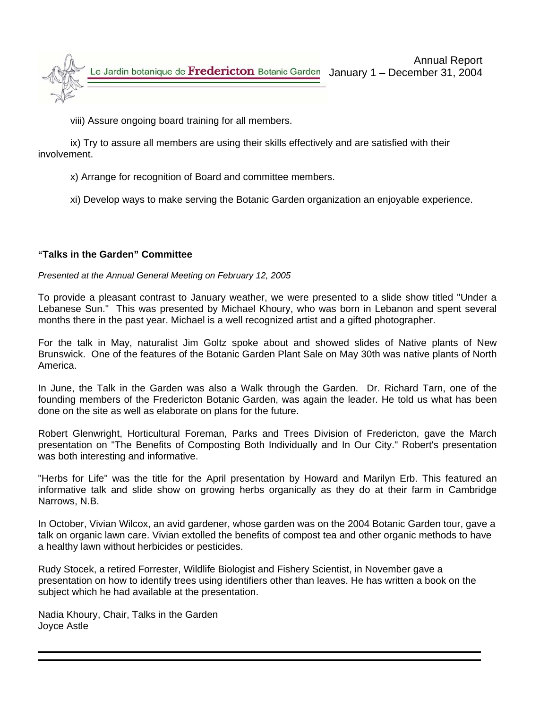

viii) Assure ongoing board training for all members.

 ix) Try to assure all members are using their skills effectively and are satisfied with their involvement.

x) Arrange for recognition of Board and committee members.

xi) Develop ways to make serving the Botanic Garden organization an enjoyable experience.

## **"Talks in the Garden" Committee**

### *Presented at the Annual General Meeting on February 12, 2005*

To provide a pleasant contrast to January weather, we were presented to a slide show titled "Under a Lebanese Sun." This was presented by Michael Khoury, who was born in Lebanon and spent several months there in the past year. Michael is a well recognized artist and a gifted photographer.

For the talk in May, naturalist Jim Goltz spoke about and showed slides of Native plants of New Brunswick. One of the features of the Botanic Garden Plant Sale on May 30th was native plants of North America.

In June, the Talk in the Garden was also a Walk through the Garden. Dr. Richard Tarn, one of the founding members of the Fredericton Botanic Garden, was again the leader. He told us what has been done on the site as well as elaborate on plans for the future.

Robert Glenwright, Horticultural Foreman, Parks and Trees Division of Fredericton, gave the March presentation on "The Benefits of Composting Both Individually and In Our City." Robert's presentation was both interesting and informative.

"Herbs for Life" was the title for the April presentation by Howard and Marilyn Erb. This featured an informative talk and slide show on growing herbs organically as they do at their farm in Cambridge Narrows, N.B.

In October, Vivian Wilcox, an avid gardener, whose garden was on the 2004 Botanic Garden tour, gave a talk on organic lawn care. Vivian extolled the benefits of compost tea and other organic methods to have a healthy lawn without herbicides or pesticides.

Rudy Stocek, a retired Forrester, Wildlife Biologist and Fishery Scientist, in November gave a presentation on how to identify trees using identifiers other than leaves. He has written a book on the subject which he had available at the presentation.

Nadia Khoury, Chair, Talks in the Garden Joyce Astle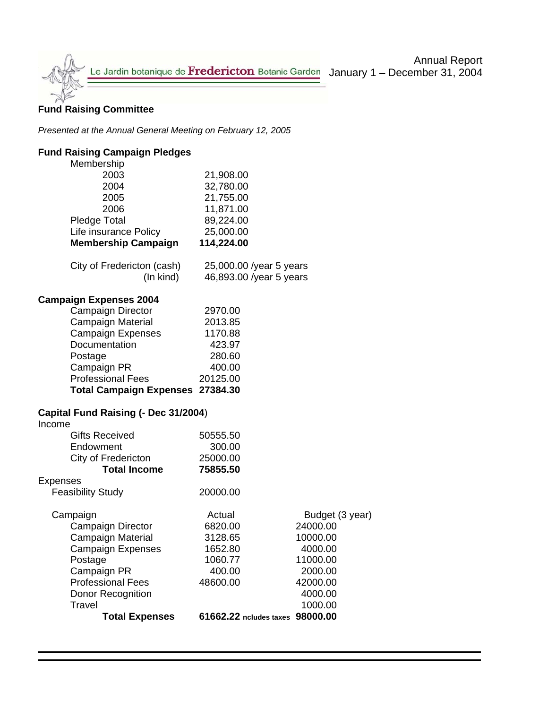

## Annual Report

January 1 – December 31, 2004

## **Fund Raising Committee**

*Presented at the Annual General Meeting on February 12, 2005* 

## **Fund Raising Campaign Pledges**

| Membership                                     |                                 |                 |
|------------------------------------------------|---------------------------------|-----------------|
| 2003                                           | 21,908.00                       |                 |
| 2004                                           | 32,780.00                       |                 |
| 2005                                           | 21,755.00                       |                 |
| 2006                                           | 11,871.00                       |                 |
| <b>Pledge Total</b>                            | 89,224.00                       |                 |
| Life insurance Policy                          | 25,000.00                       |                 |
| <b>Membership Campaign</b>                     | 114,224.00                      |                 |
| City of Fredericton (cash)                     | 25,000.00 /year 5 years         |                 |
| (In kind)                                      | 46,893.00 /year 5 years         |                 |
| <b>Campaign Expenses 2004</b>                  |                                 |                 |
| Campaign Director                              | 2970.00                         |                 |
| Campaign Material                              | 2013.85                         |                 |
| <b>Campaign Expenses</b>                       | 1170.88                         |                 |
| Documentation                                  | 423.97                          |                 |
| Postage                                        | 280.60                          |                 |
| Campaign PR                                    | 400.00                          |                 |
| <b>Professional Fees</b>                       | 20125.00                        |                 |
| <b>Total Campaign Expenses 27384.30</b>        |                                 |                 |
| Capital Fund Raising (- Dec 31/2004)<br>Income |                                 |                 |
| <b>Gifts Received</b>                          | 50555.50                        |                 |
| Endowment                                      | 300.00                          |                 |
| City of Fredericton                            | 25000.00                        |                 |
| <b>Total Income</b>                            | 75855.50                        |                 |
| <b>Expenses</b>                                |                                 |                 |
| <b>Feasibility Study</b>                       | 20000.00                        |                 |
| Campaign                                       | Actual                          | Budget (3 year) |
| Campaign Director                              | 6820.00                         | 24000.00        |
| Campaign Material                              | 3128.65                         | 10000.00        |
| <b>Campaign Expenses</b>                       | 1652.80                         | 4000.00         |
| Postage                                        | 1060.77                         | 11000.00        |
| Campaign PR                                    | 400.00                          | 2000.00         |
| <b>Professional Fees</b>                       | 48600.00                        | 42000.00        |
| Donor Recognition                              |                                 | 4000.00         |
| <b>Travel</b>                                  |                                 | 1000.00         |
| <b>Total Expenses</b>                          | 61662.22 ncludes taxes 98000.00 |                 |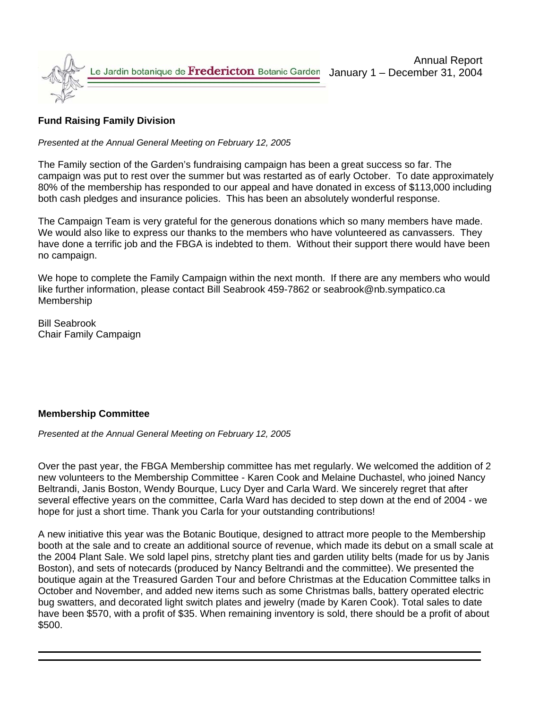

## **Fund Raising Family Division**

*Presented at the Annual General Meeting on February 12, 2005* 

The Family section of the Garden's fundraising campaign has been a great success so far. The campaign was put to rest over the summer but was restarted as of early October. To date approximately 80% of the membership has responded to our appeal and have donated in excess of \$113,000 including both cash pledges and insurance policies. This has been an absolutely wonderful response.

The Campaign Team is very grateful for the generous donations which so many members have made. We would also like to express our thanks to the members who have volunteered as canvassers. They have done a terrific job and the FBGA is indebted to them. Without their support there would have been no campaign.

We hope to complete the Family Campaign within the next month. If there are any members who would like further information, please contact Bill Seabrook 459-7862 or seabrook@nb.sympatico.ca Membership

Bill Seabrook Chair Family Campaign

## **Membership Committee**

*Presented at the Annual General Meeting on February 12, 2005*

Over the past year, the FBGA Membership committee has met regularly. We welcomed the addition of 2 new volunteers to the Membership Committee - Karen Cook and Melaine Duchastel, who joined Nancy Beltrandi, Janis Boston, Wendy Bourque, Lucy Dyer and Carla Ward. We sincerely regret that after several effective years on the committee, Carla Ward has decided to step down at the end of 2004 - we hope for just a short time. Thank you Carla for your outstanding contributions!

A new initiative this year was the Botanic Boutique, designed to attract more people to the Membership booth at the sale and to create an additional source of revenue, which made its debut on a small scale at the 2004 Plant Sale. We sold lapel pins, stretchy plant ties and garden utility belts (made for us by Janis Boston), and sets of notecards (produced by Nancy Beltrandi and the committee). We presented the boutique again at the Treasured Garden Tour and before Christmas at the Education Committee talks in October and November, and added new items such as some Christmas balls, battery operated electric bug swatters, and decorated light switch plates and jewelry (made by Karen Cook). Total sales to date have been \$570, with a profit of \$35. When remaining inventory is sold, there should be a profit of about \$500.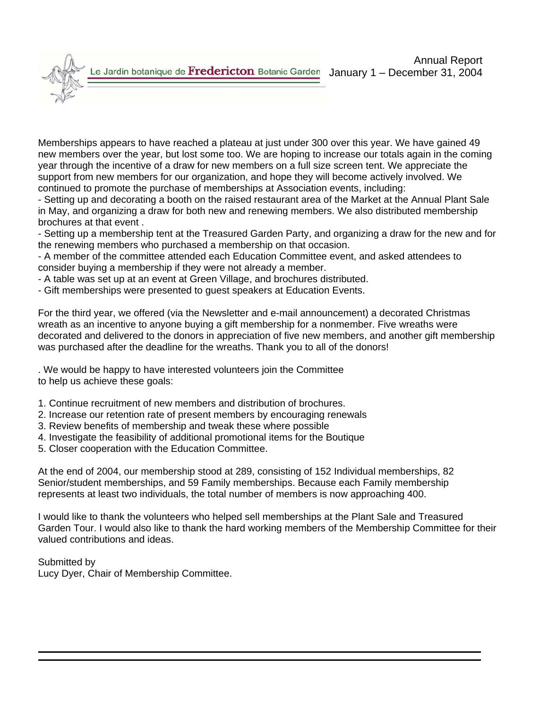Memberships appears to have reached a plateau at just under 300 over this year. We have gained 49 new members over the year, but lost some too. We are hoping to increase our totals again in the coming year through the incentive of a draw for new members on a full size screen tent. We appreciate the support from new members for our organization, and hope they will become actively involved. We continued to promote the purchase of memberships at Association events, including:

- Setting up and decorating a booth on the raised restaurant area of the Market at the Annual Plant Sale in May, and organizing a draw for both new and renewing members. We also distributed membership brochures at that event .

- Setting up a membership tent at the Treasured Garden Party, and organizing a draw for the new and for the renewing members who purchased a membership on that occasion.

- A member of the committee attended each Education Committee event, and asked attendees to consider buying a membership if they were not already a member.

- A table was set up at an event at Green Village, and brochures distributed.
- Gift memberships were presented to guest speakers at Education Events.

For the third year, we offered (via the Newsletter and e-mail announcement) a decorated Christmas wreath as an incentive to anyone buying a gift membership for a nonmember. Five wreaths were decorated and delivered to the donors in appreciation of five new members, and another gift membership was purchased after the deadline for the wreaths. Thank you to all of the donors!

. We would be happy to have interested volunteers join the Committee to help us achieve these goals:

- 1. Continue recruitment of new members and distribution of brochures.
- 2. Increase our retention rate of present members by encouraging renewals
- 3. Review benefits of membership and tweak these where possible
- 4. Investigate the feasibility of additional promotional items for the Boutique
- 5. Closer cooperation with the Education Committee.

At the end of 2004, our membership stood at 289, consisting of 152 Individual memberships, 82 Senior/student memberships, and 59 Family memberships. Because each Family membership represents at least two individuals, the total number of members is now approaching 400.

I would like to thank the volunteers who helped sell memberships at the Plant Sale and Treasured Garden Tour. I would also like to thank the hard working members of the Membership Committee for their valued contributions and ideas.

Submitted by

Lucy Dyer, Chair of Membership Committee.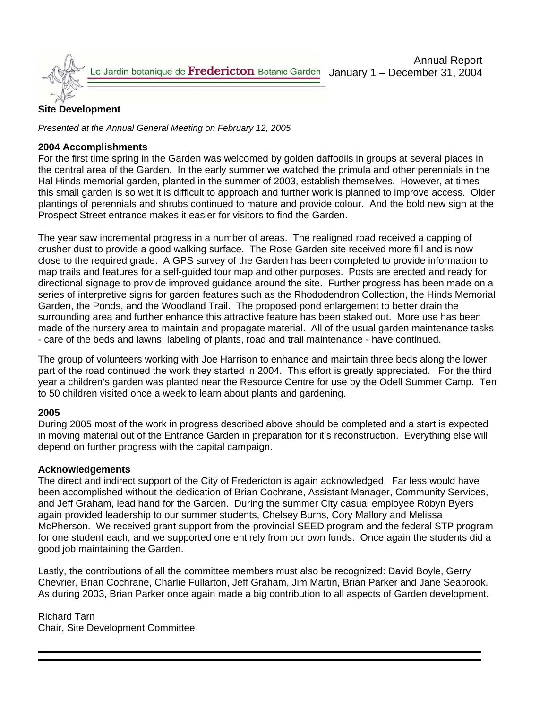

## **Site Development**

*Presented at the Annual General Meeting on February 12, 2005* 

## **2004 Accomplishments**

For the first time spring in the Garden was welcomed by golden daffodils in groups at several places in the central area of the Garden. In the early summer we watched the primula and other perennials in the Hal Hinds memorial garden, planted in the summer of 2003, establish themselves. However, at times this small garden is so wet it is difficult to approach and further work is planned to improve access. Older plantings of perennials and shrubs continued to mature and provide colour. And the bold new sign at the Prospect Street entrance makes it easier for visitors to find the Garden.

The year saw incremental progress in a number of areas. The realigned road received a capping of crusher dust to provide a good walking surface. The Rose Garden site received more fill and is now close to the required grade. A GPS survey of the Garden has been completed to provide information to map trails and features for a self-guided tour map and other purposes. Posts are erected and ready for directional signage to provide improved guidance around the site. Further progress has been made on a series of interpretive signs for garden features such as the Rhododendron Collection, the Hinds Memorial Garden, the Ponds, and the Woodland Trail. The proposed pond enlargement to better drain the surrounding area and further enhance this attractive feature has been staked out. More use has been made of the nursery area to maintain and propagate material. All of the usual garden maintenance tasks - care of the beds and lawns, labeling of plants, road and trail maintenance - have continued.

The group of volunteers working with Joe Harrison to enhance and maintain three beds along the lower part of the road continued the work they started in 2004. This effort is greatly appreciated. For the third year a children's garden was planted near the Resource Centre for use by the Odell Summer Camp. Ten to 50 children visited once a week to learn about plants and gardening.

## **2005**

During 2005 most of the work in progress described above should be completed and a start is expected in moving material out of the Entrance Garden in preparation for it's reconstruction. Everything else will depend on further progress with the capital campaign.

#### **Acknowledgements**

The direct and indirect support of the City of Fredericton is again acknowledged. Far less would have been accomplished without the dedication of Brian Cochrane, Assistant Manager, Community Services, and Jeff Graham, lead hand for the Garden. During the summer City casual employee Robyn Byers again provided leadership to our summer students, Chelsey Burns, Cory Mallory and Melissa McPherson. We received grant support from the provincial SEED program and the federal STP program for one student each, and we supported one entirely from our own funds. Once again the students did a good job maintaining the Garden.

Lastly, the contributions of all the committee members must also be recognized: David Boyle, Gerry Chevrier, Brian Cochrane, Charlie Fullarton, Jeff Graham, Jim Martin, Brian Parker and Jane Seabrook. As during 2003, Brian Parker once again made a big contribution to all aspects of Garden development.

Richard Tarn Chair, Site Development Committee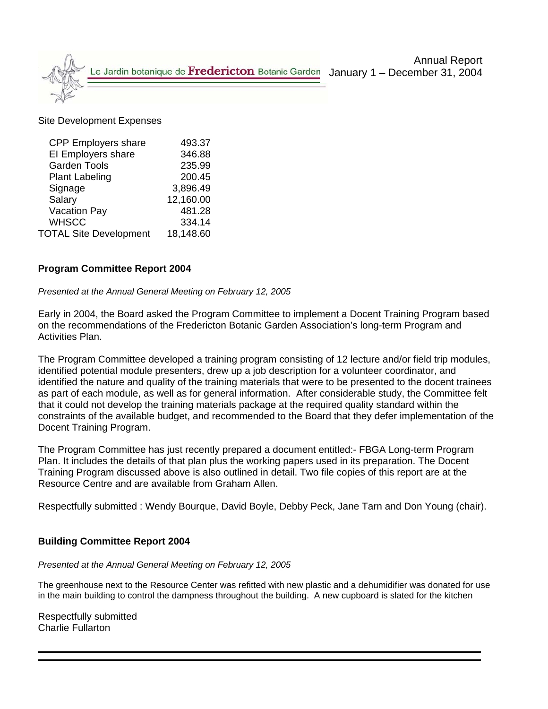

#### Site Development Expenses

| <b>CPP Employers share</b>    | 493.37    |
|-------------------------------|-----------|
| El Employers share            | 346.88    |
| <b>Garden Tools</b>           | 235.99    |
| <b>Plant Labeling</b>         | 200.45    |
| Signage                       | 3,896.49  |
| Salary                        | 12,160.00 |
| <b>Vacation Pay</b>           | 481.28    |
| <b>WHSCC</b>                  | 334.14    |
| <b>TOTAL Site Development</b> | 18,148.60 |

### **Program Committee Report 2004**

#### *Presented at the Annual General Meeting on February 12, 2005*

Early in 2004, the Board asked the Program Committee to implement a Docent Training Program based on the recommendations of the Fredericton Botanic Garden Association's long-term Program and Activities Plan.

The Program Committee developed a training program consisting of 12 lecture and/or field trip modules, identified potential module presenters, drew up a job description for a volunteer coordinator, and identified the nature and quality of the training materials that were to be presented to the docent trainees as part of each module, as well as for general information. After considerable study, the Committee felt that it could not develop the training materials package at the required quality standard within the constraints of the available budget, and recommended to the Board that they defer implementation of the Docent Training Program.

The Program Committee has just recently prepared a document entitled:- FBGA Long-term Program Plan. It includes the details of that plan plus the working papers used in its preparation. The Docent Training Program discussed above is also outlined in detail. Two file copies of this report are at the Resource Centre and are available from Graham Allen.

Respectfully submitted : Wendy Bourque, David Boyle, Debby Peck, Jane Tarn and Don Young (chair).

#### **Building Committee Report 2004**

#### *Presented at the Annual General Meeting on February 12, 2005*

The greenhouse next to the Resource Center was refitted with new plastic and a dehumidifier was donated for use in the main building to control the dampness throughout the building. A new cupboard is slated for the kitchen

Respectfully submitted Charlie Fullarton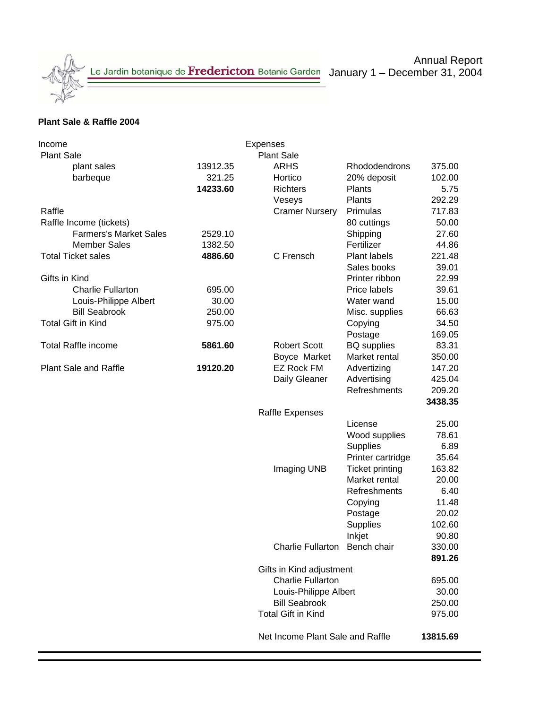### **Plant Sale & Raffle 2004**

| Income                        |          | Expenses                         |                        |         |  |  |
|-------------------------------|----------|----------------------------------|------------------------|---------|--|--|
| <b>Plant Sale</b>             |          | <b>Plant Sale</b>                |                        |         |  |  |
| plant sales                   | 13912.35 | <b>ARHS</b>                      | Rhododendrons          | 375.00  |  |  |
| barbeque                      | 321.25   | Hortico                          | 20% deposit            | 102.00  |  |  |
|                               | 14233.60 | <b>Richters</b>                  | Plants                 | 5.75    |  |  |
|                               |          | Veseys                           | Plants                 | 292.29  |  |  |
| Raffle                        |          | <b>Cramer Nursery</b>            | Primulas               | 717.83  |  |  |
| Raffle Income (tickets)       |          |                                  | 80 cuttings            | 50.00   |  |  |
| <b>Farmers's Market Sales</b> | 2529.10  |                                  | Shipping               | 27.60   |  |  |
| <b>Member Sales</b>           | 1382.50  |                                  | Fertilizer             | 44.86   |  |  |
| <b>Total Ticket sales</b>     | 4886.60  | C Frensch                        | Plant labels           | 221.48  |  |  |
|                               |          |                                  | Sales books            | 39.01   |  |  |
| Gifts in Kind                 |          |                                  | Printer ribbon         | 22.99   |  |  |
| <b>Charlie Fullarton</b>      | 695.00   |                                  | Price labels           | 39.61   |  |  |
| Louis-Philippe Albert         | 30.00    |                                  | Water wand             | 15.00   |  |  |
| <b>Bill Seabrook</b>          | 250.00   |                                  | Misc. supplies         | 66.63   |  |  |
| <b>Total Gift in Kind</b>     | 975.00   |                                  | Copying                | 34.50   |  |  |
|                               |          |                                  | Postage                | 169.05  |  |  |
| <b>Total Raffle income</b>    | 5861.60  | <b>Robert Scott</b>              | <b>BQ</b> supplies     | 83.31   |  |  |
|                               |          | Boyce Market                     | Market rental          | 350.00  |  |  |
| <b>Plant Sale and Raffle</b>  | 19120.20 | <b>EZ Rock FM</b>                | Advertizing            | 147.20  |  |  |
|                               |          | Daily Gleaner                    | Advertising            | 425.04  |  |  |
|                               |          |                                  | Refreshments           | 209.20  |  |  |
|                               |          |                                  |                        | 3438.35 |  |  |
|                               |          | <b>Raffle Expenses</b>           |                        |         |  |  |
|                               |          |                                  | License                | 25.00   |  |  |
|                               |          |                                  | Wood supplies          | 78.61   |  |  |
|                               |          |                                  | <b>Supplies</b>        | 6.89    |  |  |
|                               |          |                                  | Printer cartridge      | 35.64   |  |  |
|                               |          | Imaging UNB                      | <b>Ticket printing</b> | 163.82  |  |  |
|                               |          |                                  | Market rental          | 20.00   |  |  |
|                               |          |                                  |                        | 6.40    |  |  |
|                               |          |                                  | Refreshments           | 11.48   |  |  |
|                               |          |                                  | Copying                |         |  |  |
|                               |          |                                  | Postage                | 20.02   |  |  |
|                               |          |                                  | <b>Supplies</b>        | 102.60  |  |  |
|                               |          |                                  | Inkjet                 | 90.80   |  |  |
|                               |          | Charlie Fullarton Bench chair    |                        | 330.00  |  |  |
|                               |          |                                  |                        | 891.26  |  |  |
|                               |          | Gifts in Kind adjustment         |                        |         |  |  |
|                               |          | <b>Charlie Fullarton</b>         |                        | 695.00  |  |  |
|                               |          | Louis-Philippe Albert            | 30.00                  |         |  |  |
|                               |          | <b>Bill Seabrook</b>             | 250.00                 |         |  |  |
|                               |          | <b>Total Gift in Kind</b>        |                        | 975.00  |  |  |
|                               |          | Net Income Plant Sale and Raffle | 13815.69               |         |  |  |
|                               |          |                                  |                        |         |  |  |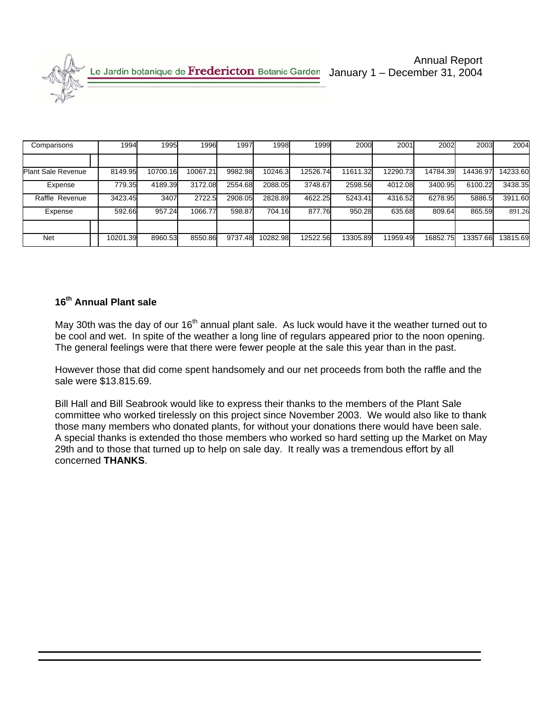| Comparisons               | 1994     | 1995     | 1996     | 1997    | 1998     | 1999     | 2000     | 2001     | 2002     | 2003     | 2004     |
|---------------------------|----------|----------|----------|---------|----------|----------|----------|----------|----------|----------|----------|
|                           |          |          |          |         |          |          |          |          |          |          |          |
| <b>Plant Sale Revenue</b> | 8149.95  | 10700.16 | 10067.21 | 9982.98 | 10246.3  | 12526.74 | 11611.32 | 12290.73 | 14784.39 | 14436.97 | 14233.60 |
| Expense                   | 779.35   | 4189.39  | 3172.08  | 2554.68 | 2088.05  | 3748.67  | 2598.56  | 4012.08  | 3400.95  | 6100.22  | 3438.35  |
| Raffle Revenue            | 3423.45  | 3407     | 2722.5   | 2908.05 | 2828.89  | 4622.25  | 5243.41  | 4316.52  | 6278.95  | 5886.5   | 3911.60  |
| Expense                   | 592.66   | 957.24   | 1066.77  | 598.87  | 704.16   | 877.76   | 950.28   | 635.68   | 809.64   | 865.59   | 891.26   |
|                           |          |          |          |         |          |          |          |          |          |          |          |
| <b>Net</b>                | 10201.39 | 8960.53  | 8550.86  | 9737.48 | 10282.98 | 12522.56 | 13305.89 | 11959.49 | 16852.75 | 13357.66 | 13815.69 |

## **16th Annual Plant sale**

May 30th was the day of our 16<sup>th</sup> annual plant sale. As luck would have it the weather turned out to be cool and wet. In spite of the weather a long line of regulars appeared prior to the noon opening. The general feelings were that there were fewer people at the sale this year than in the past.

However those that did come spent handsomely and our net proceeds from both the raffle and the sale were \$13.815.69.

Bill Hall and Bill Seabrook would like to express their thanks to the members of the Plant Sale committee who worked tirelessly on this project since November 2003. We would also like to thank those many members who donated plants, for without your donations there would have been sale. A special thanks is extended tho those members who worked so hard setting up the Market on May 29th and to those that turned up to help on sale day. It really was a tremendous effort by all concerned **THANKS**.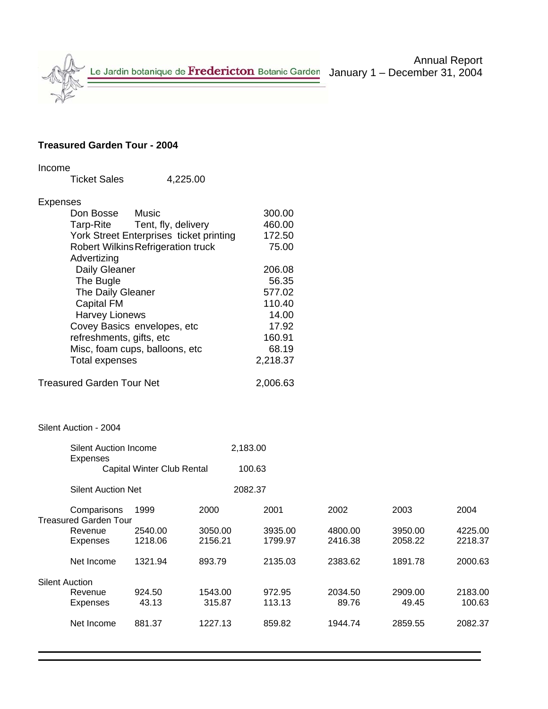# Annual Report

## **Treasured Garden Tour - 2004**

| Income                |                                  |                                           |          |          |         |         |         |  |  |
|-----------------------|----------------------------------|-------------------------------------------|----------|----------|---------|---------|---------|--|--|
|                       | <b>Ticket Sales</b>              | 4,225.00                                  |          |          |         |         |         |  |  |
| <b>Expenses</b>       |                                  |                                           |          |          |         |         |         |  |  |
|                       | Don Bosse                        | <b>Music</b>                              |          | 300.00   |         |         |         |  |  |
|                       | <b>Tarp-Rite</b>                 | Tent, fly, delivery                       |          | 460.00   |         |         |         |  |  |
|                       |                                  | York Street Enterprises ticket printing   |          | 172.50   |         |         |         |  |  |
|                       |                                  | <b>Robert Wilkins Refrigeration truck</b> |          | 75.00    |         |         |         |  |  |
|                       | Advertizing                      |                                           |          |          |         |         |         |  |  |
|                       | Daily Gleaner                    |                                           |          | 206.08   |         |         |         |  |  |
|                       | The Bugle                        |                                           |          | 56.35    |         |         |         |  |  |
|                       | The Daily Gleaner                |                                           |          | 577.02   |         |         |         |  |  |
|                       | <b>Capital FM</b>                |                                           |          | 110.40   |         |         |         |  |  |
|                       | <b>Harvey Lionews</b>            |                                           |          | 14.00    |         |         |         |  |  |
|                       |                                  | Covey Basics envelopes, etc               |          | 17.92    |         |         |         |  |  |
|                       | refreshments, gifts, etc         |                                           |          | 160.91   |         |         |         |  |  |
|                       |                                  | Misc, foam cups, balloons, etc            |          | 68.19    |         |         |         |  |  |
|                       | <b>Total expenses</b>            |                                           |          | 2,218.37 |         |         |         |  |  |
|                       | <b>Treasured Garden Tour Net</b> |                                           |          | 2,006.63 |         |         |         |  |  |
|                       | Silent Auction - 2004            |                                           |          |          |         |         |         |  |  |
|                       | <b>Silent Auction Income</b>     |                                           | 2,183.00 |          |         |         |         |  |  |
|                       | <b>Expenses</b>                  | Capital Winter Club Rental                | 100.63   |          |         |         |         |  |  |
|                       | <b>Silent Auction Net</b>        |                                           | 2082.37  |          |         |         |         |  |  |
|                       | Comparisons                      | 1999                                      | 2000     | 2001     | 2002    | 2003    | 2004    |  |  |
|                       | <b>Treasured Garden Tour</b>     |                                           |          |          |         |         |         |  |  |
|                       | Revenue                          | 2540.00                                   | 3050.00  | 3935.00  | 4800.00 | 3950.00 | 4225.00 |  |  |
|                       | <b>Expenses</b>                  | 1218.06                                   | 2156.21  | 1799.97  | 2416.38 | 2058.22 | 2218.37 |  |  |
|                       | Net Income                       | 1321.94                                   | 893.79   | 2135.03  | 2383.62 | 1891.78 | 2000.63 |  |  |
| <b>Silent Auction</b> |                                  |                                           |          |          |         |         |         |  |  |
|                       | Revenue                          | 924.50                                    | 1543.00  | 972.95   | 2034.50 | 2909.00 | 2183.00 |  |  |
|                       | <b>Expenses</b>                  | 43.13                                     | 315.87   | 113.13   | 89.76   | 49.45   | 100.63  |  |  |
|                       | Net Income                       | 881.37                                    | 1227.13  | 859.82   | 1944.74 | 2859.55 | 2082.37 |  |  |
|                       |                                  |                                           |          |          |         |         |         |  |  |